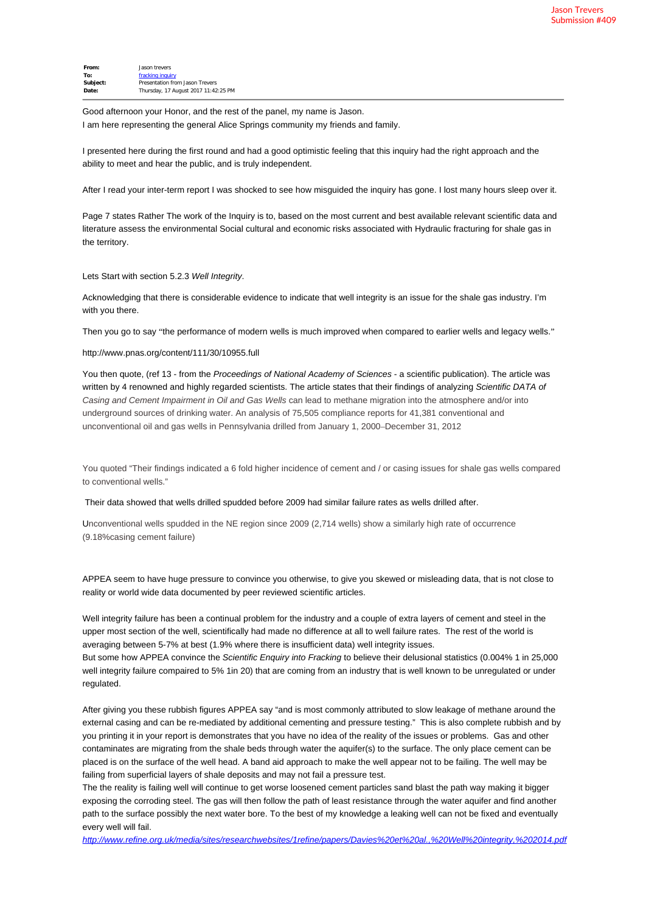| From:    | Jason trevers                        |
|----------|--------------------------------------|
| To:      | fracking inquiry                     |
| Subject: | Presentation from Jason Trevers      |
| Date:    | Thursday, 17 August 2017 11:42:25 PM |
|          |                                      |

Good afternoon your Honor, and the rest of the panel, my name is Jason. I am here representing the general Alice Springs community my friends and family.

I presented here during the first round and had a good optimistic feeling that this inquiry had the right approach and the ability to meet and hear the public, and is truly independent.

After I read your inter-term report I was shocked to see how misguided the inquiry has gone. I lost many hours sleep over it.

Page 7 states Rather The work of the Inquiry is to, based on the most current and best available relevant scientific data and literature assess the environmental Social cultural and economic risks associated with Hydraulic fracturing for shale gas in the territory.

Lets Start with section 5.2.3 *Well Integrity*.

Acknowledging that there is considerable evidence to indicate that well integrity is an issue for the shale gas industry. I'm with you there.

Then you go to say "the performance of modern wells is much improved when compared to earlier wells and legacy wells."

http://www.pnas.org/content/111/30/10955.full

You then quote, (ref 13 - from the *Proceedings of National Academy of Sciences* - a scientific publication). The article was written by 4 renowned and highly regarded scientists. The article states that their findings of analyzing *Scientific DATA of Casing and Cement Impairment in Oil and Gas Wells* can lead to methane migration into the atmosphere and/or into underground sources of drinking water. An analysis of 75,505 compliance reports for 41,381 conventional and unconventional oil and gas wells in Pennsylvania drilled from January 1, 2000–December 31, 2012

You quoted "Their findings indicated a 6 fold higher incidence of cement and / or casing issues for shale gas wells compared to conventional wells."

Their data showed that wells drilled spudded before 2009 had similar failure rates as wells drilled after.

Unconventional wells spudded in the NE region since 2009 (2,714 wells) show a similarly high rate of occurrence (9.18%casing cement failure)

APPEA seem to have huge pressure to convince you otherwise, to give you skewed or misleading data, that is not close to reality or world wide data documented by peer reviewed scientific articles.

Well integrity failure has been a continual problem for the industry and a couple of extra layers of cement and steel in the upper most section of the well, scientifically had made no difference at all to well failure rates. The rest of the world is averaging between 5-7% at best (1.9% where there is insufficient data) well integrity issues.

But some how APPEA convince the *Scientific Enquiry into Fracking* to believe their delusional statistics (0.004% 1 in 25,000 well integrity failure compaired to 5% 1in 20) that are coming from an industry that is well known to be unregulated or under regulated.

After giving you these rubbish figures APPEA say "and is most commonly attributed to slow leakage of methane around the external casing and can be re-mediated by additional cementing and pressure testing." This is also complete rubbish and by you printing it in your report is demonstrates that you have no idea of the reality of the issues or problems. Gas and other contaminates are migrating from the shale beds through water the aquifer(s) to the surface. The only place cement can be placed is on the surface of the well head. A band aid approach to make the well appear not to be failing. The well may be failing from superficial layers of shale deposits and may not fail a pressure test.

The the reality is failing well will continue to get worse loosened cement particles sand blast the path way making it bigger exposing the corroding steel. The gas will then follow the path of least resistance through the water aquifer and find another path to the surface possibly the next water bore. To the best of my knowledge a leaking well can not be fixed and eventually every well will fail.

*<http://www.refine.org.uk/media/sites/researchwebsites/1refine/papers/Davies%20et%20al.,%20Well%20integrity,%202014.pdf>*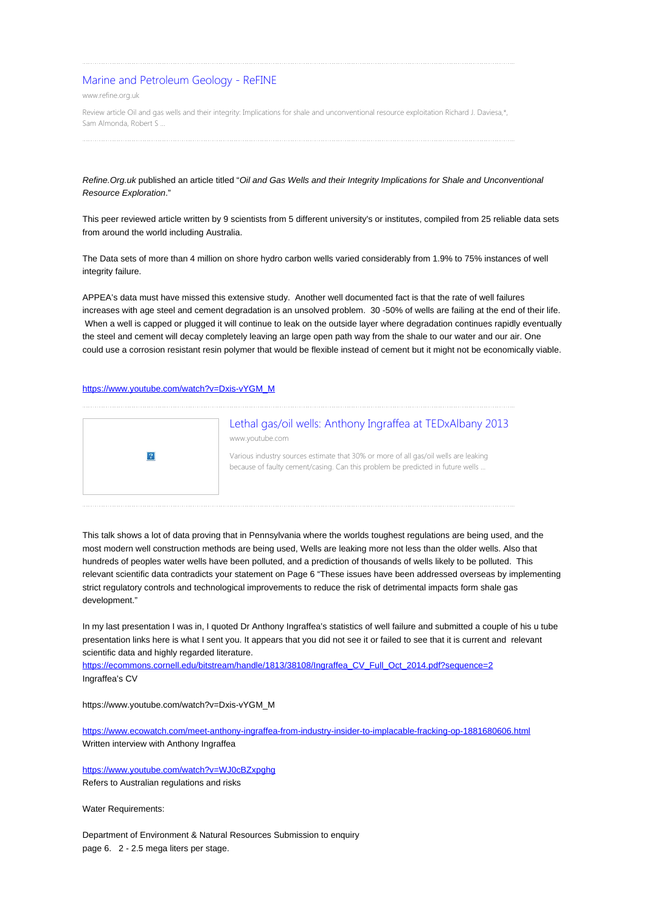## [Marine and Petroleum Geology - ReFINE](http://www.refine.org.uk/media/sites/researchwebsites/1refine/papers/Davies%20et%20al.,%20Well%20integrity,%202014.pdf)

www.refine.org.uk

Review article Oil and gas wells and their integrity: Implications for shale and unconventional resource exploitation Richard J. Daviesa,\*, Sam Almonda, Robert S ...

*Refine.Org.uk* published an article titled "*Oil and Gas Wells and their Integrity Implications for Shale and Unconventional Resource Exploration*."

This peer reviewed article written by 9 scientists from 5 different university's or institutes, compiled from 25 reliable data sets from around the world including Australia.

The Data sets of more than 4 million on shore hydro carbon wells varied considerably from 1.9% to 75% instances of well integrity failure.

APPEA's data must have missed this extensive study. Another well documented fact is that the rate of well failures increases with age steel and cement degradation is an unsolved problem. 30 -50% of wells are failing at the end of their life. When a well is capped or plugged it will continue to leak on the outside layer where degradation continues rapidly eventually the steel and cement will decay completely leaving an large open path way from the shale to our water and our air. One could use a corrosion resistant resin polymer that would be flexible instead of cement but it might not be economically viable.

## [https://www.youtube.com/watch?v=Dxis-vYGM\\_M](https://www.youtube.com/watch?v=Dxis-vYGM_M)



This talk shows a lot of data proving that in Pennsylvania where the worlds toughest regulations are being used, and the most modern well construction methods are being used, Wells are leaking more not less than the older wells. Also that hundreds of peoples water wells have been polluted, and a prediction of thousands of wells likely to be polluted. This relevant scientific data contradicts your statement on Page 6 "These issues have been addressed overseas by implementing strict regulatory controls and technological improvements to reduce the risk of detrimental impacts form shale gas development."

In my last presentation I was in, I quoted Dr Anthony Ingraffea's statistics of well failure and submitted a couple of his u tube presentation links here is what I sent you. It appears that you did not see it or failed to see that it is current and relevant scientific data and highly regarded literature.

[https://ecommons.cornell.edu/bitstream/handle/1813/38108/Ingraffea\\_CV\\_Full\\_Oct\\_2014.pdf?sequence=2](https://ecommons.cornell.edu/bitstream/handle/1813/38108/Ingraffea_CV_Full_Oct_2014.pdf?sequence=2) Ingraffea's CV

https://www.youtube.com/watch?v=Dxis-vYGM\_M

<https://www.ecowatch.com/meet-anthony-ingraffea-from-industry-insider-to-implacable-fracking-op-1881680606.html> Written interview with Anthony Ingraffea

<https://www.youtube.com/watch?v=WJ0cBZxpghg> Refers to Australian regulations and risks

Water Requirements:

Department of Environment & Natural Resources Submission to enquiry page 6. 2 - 2.5 mega liters per stage.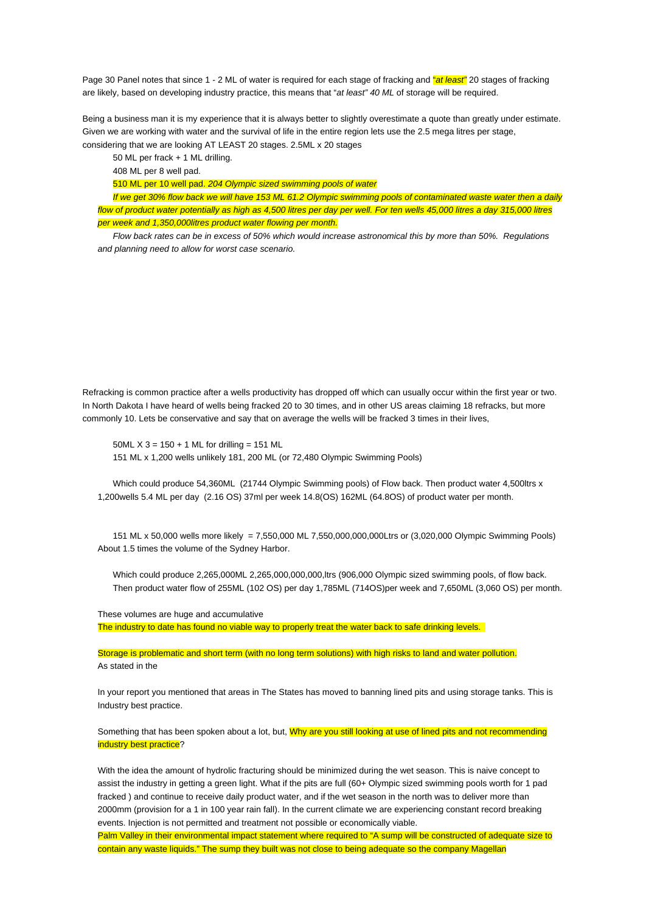Page 30 Panel notes that since 1 - 2 ML of water is required for each stage of fracking and "*at least"* 20 stages of fracking are likely, based on developing industry practice, this means that "*at least" 40 ML* of storage will be required.

Being a business man it is my experience that it is always better to slightly overestimate a quote than greatly under estimate. Given we are working with water and the survival of life in the entire region lets use the 2.5 mega litres per stage, considering that we are looking AT LEAST 20 stages. 2.5ML x 20 stages

50 ML per frack + 1 ML drilling.

408 ML per 8 well pad.

510 ML per 10 well pad. *204 Olympic sized swimming pools of water*

*If we get 30% flow back we will have 153 ML 61.2 Olympic swimming pools of contaminated waste water then a daily flow of product water potentially as high as 4,500 litres per day per well. For ten wells 45,000 litres a day 315,000 litres per week and 1,350,000litres product water flowing per month.*

*Flow back rates can be in excess of 50% which would increase astronomical this by more than 50%. Regulations and planning need to allow for worst case scenario.*

Refracking is common practice after a wells productivity has dropped off which can usually occur within the first year or two. In North Dakota I have heard of wells being fracked 20 to 30 times, and in other US areas claiming 18 refracks, but more commonly 10. Lets be conservative and say that on average the wells will be fracked 3 times in their lives,

50ML  $X$  3 = 150 + 1 ML for drilling = 151 ML 151 ML x 1,200 wells unlikely 181, 200 ML (or 72,480 Olympic Swimming Pools)

Which could produce 54,360ML (21744 Olympic Swimming pools) of Flow back. Then product water 4,500ltrs x 1,200wells 5.4 ML per day (2.16 OS) 37ml per week 14.8(OS) 162ML (64.8OS) of product water per month.

151 ML x 50,000 wells more likely = 7,550,000 ML 7,550,000,000,000Ltrs or (3,020,000 Olympic Swimming Pools) About 1.5 times the volume of the Sydney Harbor.

Which could produce 2,265,000ML 2,265,000,000,000,ltrs (906,000 Olympic sized swimming pools, of flow back. Then product water flow of 255ML (102 OS) per day 1,785ML (714OS)per week and 7,650ML (3,060 OS) per month.

These volumes are huge and accumulative The industry to date has found no viable way to properly treat the water back to safe drinking levels.

Storage is problematic and short term (with no long term solutions) with high risks to land and water pollution. As stated in the

In your report you mentioned that areas in The States has moved to banning lined pits and using storage tanks. This is Industry best practice.

Something that has been spoken about a lot, but, Why are you still looking at use of lined pits and not recommending industry best practice?

With the idea the amount of hydrolic fracturing should be minimized during the wet season. This is naive concept to assist the industry in getting a green light. What if the pits are full (60+ Olympic sized swimming pools worth for 1 pad fracked ) and continue to receive daily product water, and if the wet season in the north was to deliver more than 2000mm (provision for a 1 in 100 year rain fall). In the current climate we are experiencing constant record breaking events. Injection is not permitted and treatment not possible or economically viable.

Palm Valley in their environmental impact statement where required to "A sump will be constructed of adequate size to contain any waste liquids." The sump they built was not close to being adequate so the company Magellan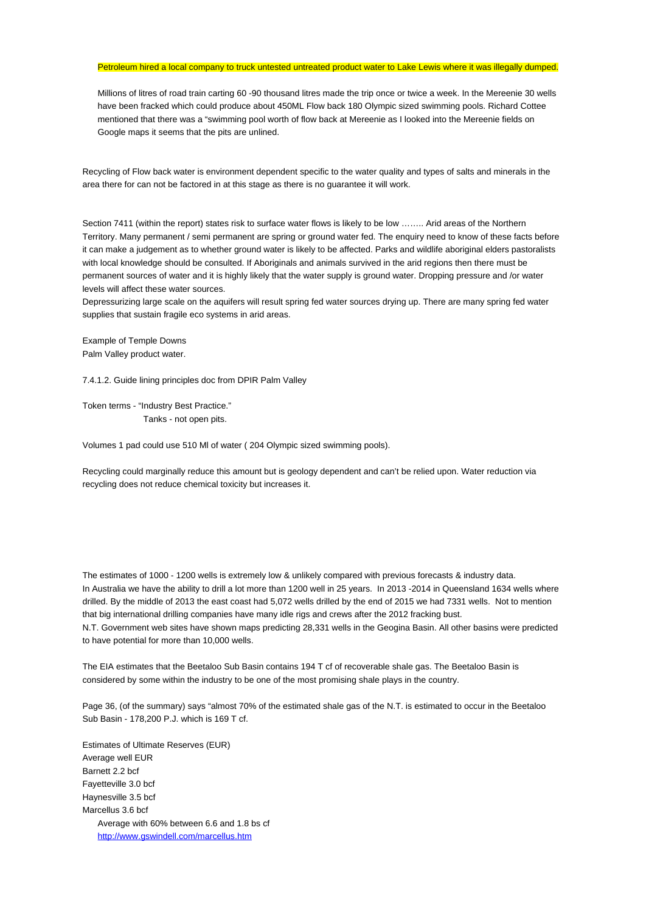## Petroleum hired a local company to truck untested untreated product water to Lake Lewis where it was illegally dumped.

Millions of litres of road train carting 60 -90 thousand litres made the trip once or twice a week. In the Mereenie 30 wells have been fracked which could produce about 450ML Flow back 180 Olympic sized swimming pools. Richard Cottee mentioned that there was a "swimming pool worth of flow back at Mereenie as I looked into the Mereenie fields on Google maps it seems that the pits are unlined.

Recycling of Flow back water is environment dependent specific to the water quality and types of salts and minerals in the area there for can not be factored in at this stage as there is no guarantee it will work.

Section 7411 (within the report) states risk to surface water flows is likely to be low …….. Arid areas of the Northern Territory. Many permanent / semi permanent are spring or ground water fed. The enquiry need to know of these facts before it can make a judgement as to whether ground water is likely to be affected. Parks and wildlife aboriginal elders pastoralists with local knowledge should be consulted. If Aboriginals and animals survived in the arid regions then there must be permanent sources of water and it is highly likely that the water supply is ground water. Dropping pressure and /or water levels will affect these water sources.

Depressurizing large scale on the aquifers will result spring fed water sources drying up. There are many spring fed water supplies that sustain fragile eco systems in arid areas.

Example of Temple Downs Palm Valley product water.

7.4.1.2. Guide lining principles doc from DPIR Palm Valley

Token terms - "Industry Best Practice." Tanks - not open pits.

Volumes 1 pad could use 510 Ml of water ( 204 Olympic sized swimming pools).

Recycling could marginally reduce this amount but is geology dependent and can't be relied upon. Water reduction via recycling does not reduce chemical toxicity but increases it.

The estimates of 1000 - 1200 wells is extremely low & unlikely compared with previous forecasts & industry data. In Australia we have the ability to drill a lot more than 1200 well in 25 years. In 2013 -2014 in Queensland 1634 wells where drilled. By the middle of 2013 the east coast had 5,072 wells drilled by the end of 2015 we had 7331 wells. Not to mention that big international drilling companies have many idle rigs and crews after the 2012 fracking bust. N.T. Government web sites have shown maps predicting 28,331 wells in the Geogina Basin. All other basins were predicted to have potential for more than 10,000 wells.

The EIA estimates that the Beetaloo Sub Basin contains 194 T cf of recoverable shale gas. The Beetaloo Basin is considered by some within the industry to be one of the most promising shale plays in the country.

Page 36, (of the summary) says "almost 70% of the estimated shale gas of the N.T. is estimated to occur in the Beetaloo Sub Basin - 178,200 P.J. which is 169 T cf.

Estimates of Ultimate Reserves (EUR) Average well EUR Barnett 2.2 bcf Fayetteville 3.0 bcf Haynesville 3.5 bcf Marcellus 3.6 bcf Average with 60% between 6.6 and 1.8 bs cf <http://www.gswindell.com/marcellus.htm>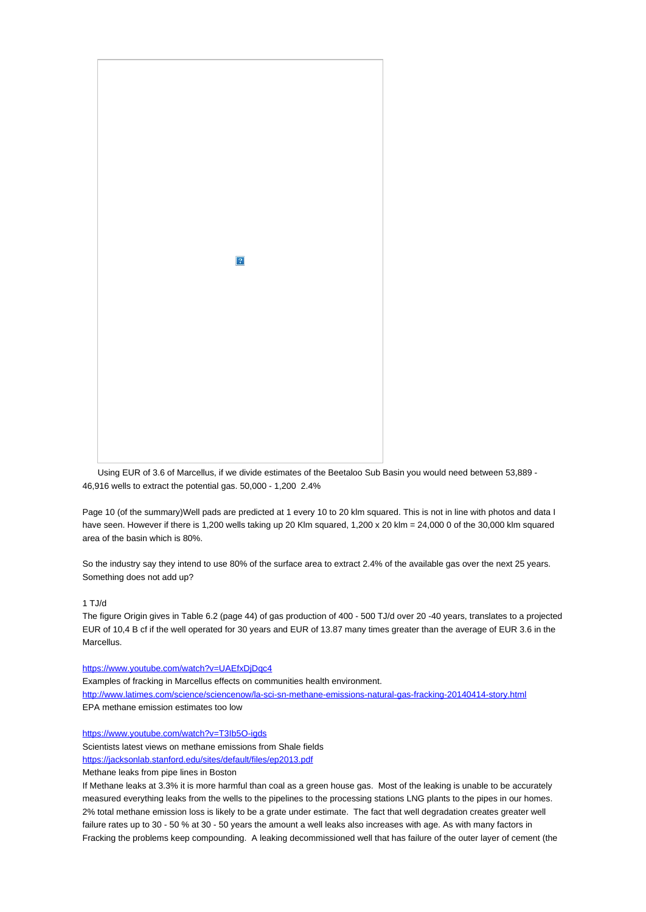

Using EUR of 3.6 of Marcellus, if we divide estimates of the Beetaloo Sub Basin you would need between 53,889 - 46,916 wells to extract the potential gas. 50,000 - 1,200 2.4%

Page 10 (of the summary)Well pads are predicted at 1 every 10 to 20 klm squared. This is not in line with photos and data I have seen. However if there is 1,200 wells taking up 20 Klm squared, 1,200 x 20 klm = 24,000 0 of the 30,000 klm squared area of the basin which is 80%.

So the industry say they intend to use 80% of the surface area to extract 2.4% of the available gas over the next 25 years. Something does not add up?

## 1 TJ/d

The figure Origin gives in Table 6.2 (page 44) of gas production of 400 - 500 TJ/d over 20 -40 years, translates to a projected EUR of 10,4 B cf if the well operated for 30 years and EUR of 13.87 many times greater than the average of EUR 3.6 in the Marcellus.

<https://www.youtube.com/watch?v=UAEfxDjDqc4>

Examples of fracking in Marcellus effects on communities health environment.

<http://www.latimes.com/science/sciencenow/la-sci-sn-methane-emissions-natural-gas-fracking-20140414-story.html> EPA methane emission estimates too low

<https://www.youtube.com/watch?v=T3Ib5O-igds>

Scientists latest views on methane emissions from Shale fields

<https://jacksonlab.stanford.edu/sites/default/files/ep2013.pdf>

Methane leaks from pipe lines in Boston

If Methane leaks at 3.3% it is more harmful than coal as a green house gas. Most of the leaking is unable to be accurately measured everything leaks from the wells to the pipelines to the processing stations LNG plants to the pipes in our homes. 2% total methane emission loss is likely to be a grate under estimate. The fact that well degradation creates greater well failure rates up to 30 - 50 % at 30 - 50 years the amount a well leaks also increases with age. As with many factors in Fracking the problems keep compounding. A leaking decommissioned well that has failure of the outer layer of cement (the